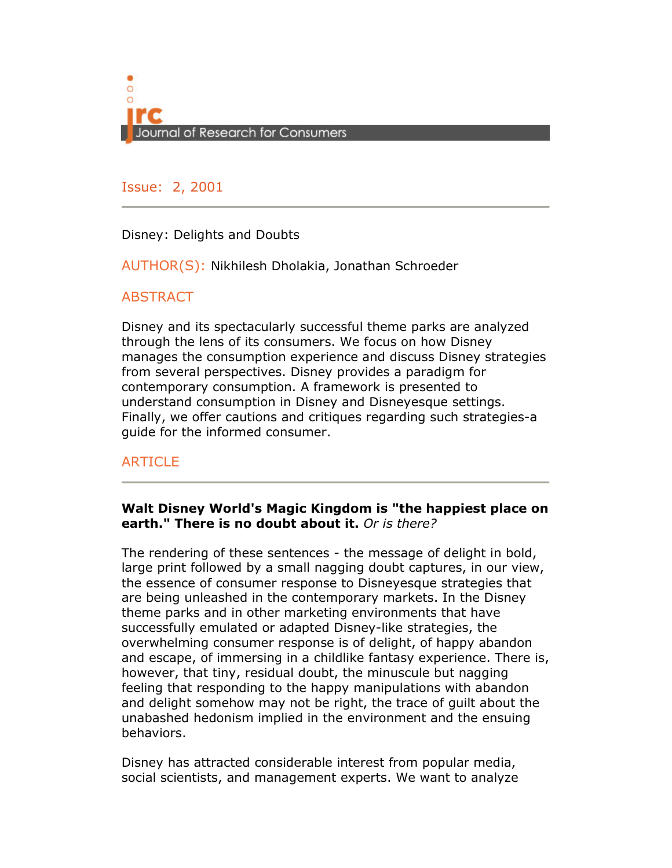

Issue: 2, 2001

Disney: Delights and Doubts

AUTHOR(S): Nikhilesh Dholakia, Jonathan Schroeder

# **ABSTRACT**

Disney and its spectacularly successful theme parks are analyzed through the lens of its consumers. We focus on how Disney manages the consumption experience and discuss Disney strategies from several perspectives. Disney provides a paradigm for contemporary consumption. A framework is presented to understand consumption in Disney and Disneyesque settings. Finally, we offer cautions and critiques regarding such strategies-a guide for the informed consumer.

# **ARTICLE**

## Walt Disney World's Magic Kingdom is "the happiest place on earth." There is no doubt about it. Or is there?

The rendering of these sentences - the message of delight in bold, large print followed by a small nagging doubt captures, in our view, the essence of consumer response to Disneyesque strategies that are being unleashed in the contemporary markets. In the Disney theme parks and in other marketing environments that have successfully emulated or adapted Disney-like strategies, the overwhelming consumer response is of delight, of happy abandon and escape, of immersing in a childlike fantasy experience. There is, however, that tiny, residual doubt, the minuscule but nagging feeling that responding to the happy manipulations with abandon and delight somehow may not be right, the trace of guilt about the unabashed hedonism implied in the environment and the ensuing behaviors.

Disney has attracted considerable interest from popular media, social scientists, and management experts. We want to analyze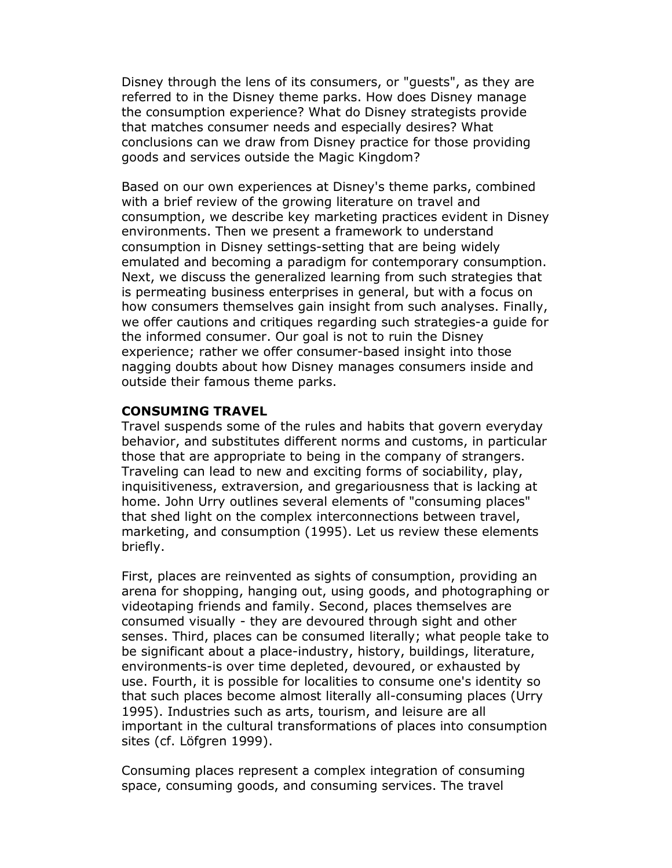Disney through the lens of its consumers, or "guests", as they are referred to in the Disney theme parks. How does Disney manage the consumption experience? What do Disney strategists provide that matches consumer needs and especially desires? What conclusions can we draw from Disney practice for those providing goods and services outside the Magic Kingdom?

Based on our own experiences at Disney's theme parks, combined with a brief review of the growing literature on travel and consumption, we describe key marketing practices evident in Disney environments. Then we present a framework to understand consumption in Disney settings-setting that are being widely emulated and becoming a paradigm for contemporary consumption. Next, we discuss the generalized learning from such strategies that is permeating business enterprises in general, but with a focus on how consumers themselves gain insight from such analyses. Finally, we offer cautions and critiques regarding such strategies-a guide for the informed consumer. Our goal is not to ruin the Disney experience; rather we offer consumer-based insight into those nagging doubts about how Disney manages consumers inside and outside their famous theme parks.

### CONSUMING TRAVEL

Travel suspends some of the rules and habits that govern everyday behavior, and substitutes different norms and customs, in particular those that are appropriate to being in the company of strangers. Traveling can lead to new and exciting forms of sociability, play, inquisitiveness, extraversion, and gregariousness that is lacking at home. John Urry outlines several elements of "consuming places" that shed light on the complex interconnections between travel, marketing, and consumption (1995). Let us review these elements briefly.

First, places are reinvented as sights of consumption, providing an arena for shopping, hanging out, using goods, and photographing or videotaping friends and family. Second, places themselves are consumed visually - they are devoured through sight and other senses. Third, places can be consumed literally; what people take to be significant about a place-industry, history, buildings, literature, environments-is over time depleted, devoured, or exhausted by use. Fourth, it is possible for localities to consume one's identity so that such places become almost literally all-consuming places (Urry 1995). Industries such as arts, tourism, and leisure are all important in the cultural transformations of places into consumption sites (cf. Löfgren 1999).

Consuming places represent a complex integration of consuming space, consuming goods, and consuming services. The travel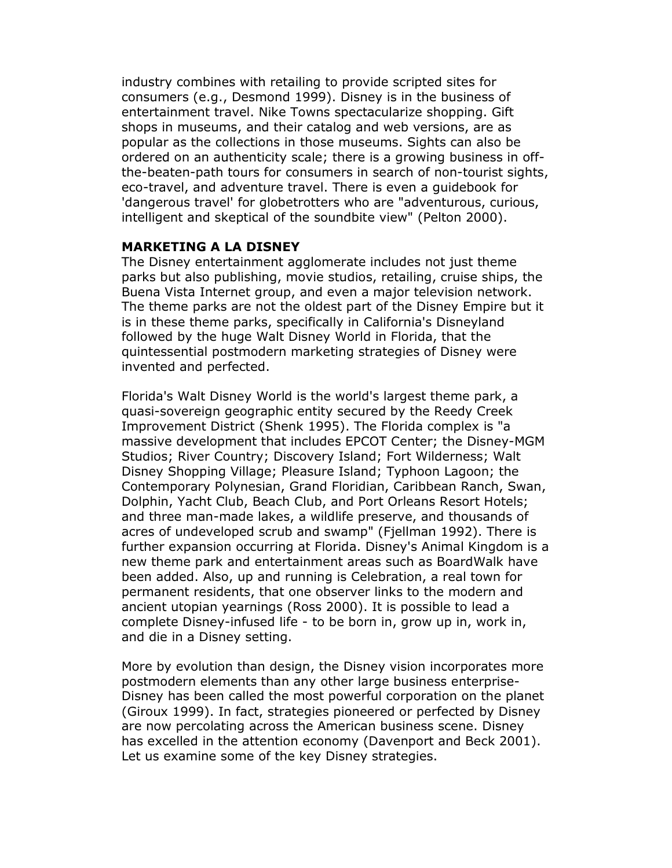industry combines with retailing to provide scripted sites for consumers (e.g., Desmond 1999). Disney is in the business of entertainment travel. Nike Towns spectacularize shopping. Gift shops in museums, and their catalog and web versions, are as popular as the collections in those museums. Sights can also be ordered on an authenticity scale; there is a growing business in offthe-beaten-path tours for consumers in search of non-tourist sights, eco-travel, and adventure travel. There is even a guidebook for 'dangerous travel' for globetrotters who are "adventurous, curious, intelligent and skeptical of the soundbite view" (Pelton 2000).

## MARKETING A LA DISNEY

The Disney entertainment agglomerate includes not just theme parks but also publishing, movie studios, retailing, cruise ships, the Buena Vista Internet group, and even a major television network. The theme parks are not the oldest part of the Disney Empire but it is in these theme parks, specifically in California's Disneyland followed by the huge Walt Disney World in Florida, that the quintessential postmodern marketing strategies of Disney were invented and perfected.

Florida's Walt Disney World is the world's largest theme park, a quasi-sovereign geographic entity secured by the Reedy Creek Improvement District (Shenk 1995). The Florida complex is "a massive development that includes EPCOT Center; the Disney-MGM Studios; River Country; Discovery Island; Fort Wilderness; Walt Disney Shopping Village; Pleasure Island; Typhoon Lagoon; the Contemporary Polynesian, Grand Floridian, Caribbean Ranch, Swan, Dolphin, Yacht Club, Beach Club, and Port Orleans Resort Hotels; and three man-made lakes, a wildlife preserve, and thousands of acres of undeveloped scrub and swamp" (Fjellman 1992). There is further expansion occurring at Florida. Disney's Animal Kingdom is a new theme park and entertainment areas such as BoardWalk have been added. Also, up and running is Celebration, a real town for permanent residents, that one observer links to the modern and ancient utopian yearnings (Ross 2000). It is possible to lead a complete Disney-infused life - to be born in, grow up in, work in, and die in a Disney setting.

More by evolution than design, the Disney vision incorporates more postmodern elements than any other large business enterprise-Disney has been called the most powerful corporation on the planet (Giroux 1999). In fact, strategies pioneered or perfected by Disney are now percolating across the American business scene. Disney has excelled in the attention economy (Davenport and Beck 2001). Let us examine some of the key Disney strategies.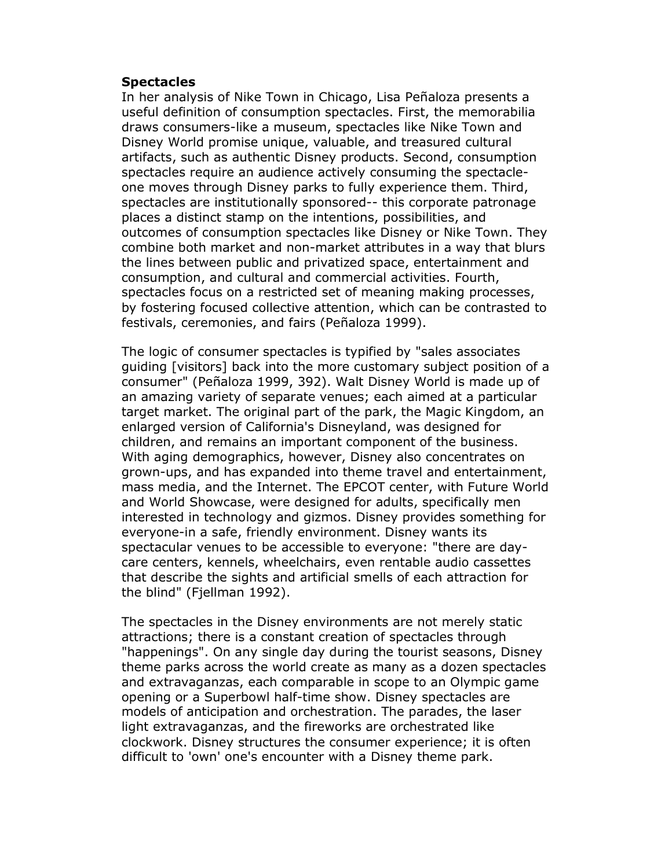#### **Spectacles**

In her analysis of Nike Town in Chicago, Lisa Peñaloza presents a useful definition of consumption spectacles. First, the memorabilia draws consumers-like a museum, spectacles like Nike Town and Disney World promise unique, valuable, and treasured cultural artifacts, such as authentic Disney products. Second, consumption spectacles require an audience actively consuming the spectacleone moves through Disney parks to fully experience them. Third, spectacles are institutionally sponsored-- this corporate patronage places a distinct stamp on the intentions, possibilities, and outcomes of consumption spectacles like Disney or Nike Town. They combine both market and non-market attributes in a way that blurs the lines between public and privatized space, entertainment and consumption, and cultural and commercial activities. Fourth, spectacles focus on a restricted set of meaning making processes, by fostering focused collective attention, which can be contrasted to festivals, ceremonies, and fairs (Peñaloza 1999).

The logic of consumer spectacles is typified by "sales associates guiding [visitors] back into the more customary subject position of a consumer" (Peñaloza 1999, 392). Walt Disney World is made up of an amazing variety of separate venues; each aimed at a particular target market. The original part of the park, the Magic Kingdom, an enlarged version of California's Disneyland, was designed for children, and remains an important component of the business. With aging demographics, however, Disney also concentrates on grown-ups, and has expanded into theme travel and entertainment, mass media, and the Internet. The EPCOT center, with Future World and World Showcase, were designed for adults, specifically men interested in technology and gizmos. Disney provides something for everyone-in a safe, friendly environment. Disney wants its spectacular venues to be accessible to everyone: "there are daycare centers, kennels, wheelchairs, even rentable audio cassettes that describe the sights and artificial smells of each attraction for the blind" (Fjellman 1992).

The spectacles in the Disney environments are not merely static attractions; there is a constant creation of spectacles through "happenings". On any single day during the tourist seasons, Disney theme parks across the world create as many as a dozen spectacles and extravaganzas, each comparable in scope to an Olympic game opening or a Superbowl half-time show. Disney spectacles are models of anticipation and orchestration. The parades, the laser light extravaganzas, and the fireworks are orchestrated like clockwork. Disney structures the consumer experience; it is often difficult to 'own' one's encounter with a Disney theme park.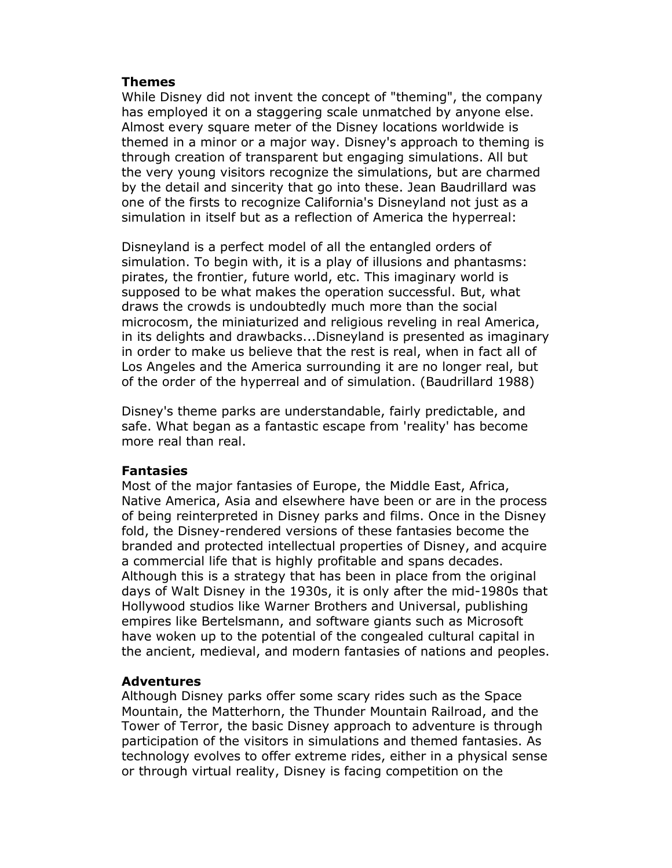### Themes

While Disney did not invent the concept of "theming", the company has employed it on a staggering scale unmatched by anyone else. Almost every square meter of the Disney locations worldwide is themed in a minor or a major way. Disney's approach to theming is through creation of transparent but engaging simulations. All but the very young visitors recognize the simulations, but are charmed by the detail and sincerity that go into these. Jean Baudrillard was one of the firsts to recognize California's Disneyland not just as a simulation in itself but as a reflection of America the hyperreal:

Disneyland is a perfect model of all the entangled orders of simulation. To begin with, it is a play of illusions and phantasms: pirates, the frontier, future world, etc. This imaginary world is supposed to be what makes the operation successful. But, what draws the crowds is undoubtedly much more than the social microcosm, the miniaturized and religious reveling in real America, in its delights and drawbacks...Disneyland is presented as imaginary in order to make us believe that the rest is real, when in fact all of Los Angeles and the America surrounding it are no longer real, but of the order of the hyperreal and of simulation. (Baudrillard 1988)

Disney's theme parks are understandable, fairly predictable, and safe. What began as a fantastic escape from 'reality' has become more real than real.

#### Fantasies

Most of the major fantasies of Europe, the Middle East, Africa, Native America, Asia and elsewhere have been or are in the process of being reinterpreted in Disney parks and films. Once in the Disney fold, the Disney-rendered versions of these fantasies become the branded and protected intellectual properties of Disney, and acquire a commercial life that is highly profitable and spans decades. Although this is a strategy that has been in place from the original days of Walt Disney in the 1930s, it is only after the mid-1980s that Hollywood studios like Warner Brothers and Universal, publishing empires like Bertelsmann, and software giants such as Microsoft have woken up to the potential of the congealed cultural capital in the ancient, medieval, and modern fantasies of nations and peoples.

#### Adventures

Although Disney parks offer some scary rides such as the Space Mountain, the Matterhorn, the Thunder Mountain Railroad, and the Tower of Terror, the basic Disney approach to adventure is through participation of the visitors in simulations and themed fantasies. As technology evolves to offer extreme rides, either in a physical sense or through virtual reality, Disney is facing competition on the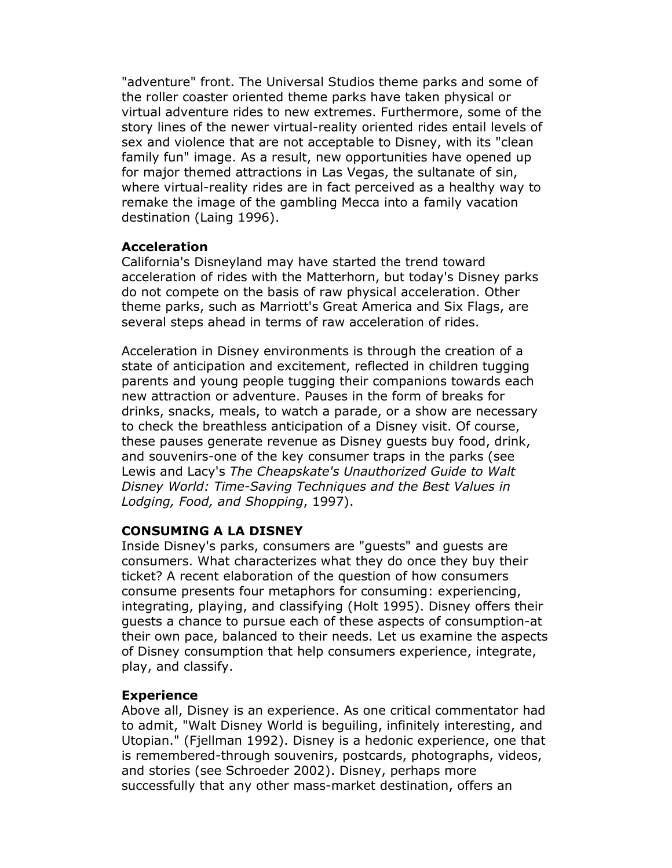"adventure" front. The Universal Studios theme parks and some of the roller coaster oriented theme parks have taken physical or virtual adventure rides to new extremes. Furthermore, some of the story lines of the newer virtual-reality oriented rides entail levels of sex and violence that are not acceptable to Disney, with its "clean family fun" image. As a result, new opportunities have opened up for major themed attractions in Las Vegas, the sultanate of sin, where virtual-reality rides are in fact perceived as a healthy way to remake the image of the gambling Mecca into a family vacation destination (Laing 1996).

### Acceleration

California's Disneyland may have started the trend toward acceleration of rides with the Matterhorn, but today's Disney parks do not compete on the basis of raw physical acceleration. Other theme parks, such as Marriott's Great America and Six Flags, are several steps ahead in terms of raw acceleration of rides.

Acceleration in Disney environments is through the creation of a state of anticipation and excitement, reflected in children tugging parents and young people tugging their companions towards each new attraction or adventure. Pauses in the form of breaks for drinks, snacks, meals, to watch a parade, or a show are necessary to check the breathless anticipation of a Disney visit. Of course, these pauses generate revenue as Disney guests buy food, drink, and souvenirs-one of the key consumer traps in the parks (see Lewis and Lacy's The Cheapskate's Unauthorized Guide to Walt Disney World: Time-Saving Techniques and the Best Values in Lodging, Food, and Shopping, 1997).

# CONSUMING A LA DISNEY

Inside Disney's parks, consumers are "guests" and guests are consumers. What characterizes what they do once they buy their ticket? A recent elaboration of the question of how consumers consume presents four metaphors for consuming: experiencing, integrating, playing, and classifying (Holt 1995). Disney offers their guests a chance to pursue each of these aspects of consumption-at their own pace, balanced to their needs. Let us examine the aspects of Disney consumption that help consumers experience, integrate, play, and classify.

## Experience

Above all, Disney is an experience. As one critical commentator had to admit, "Walt Disney World is beguiling, infinitely interesting, and Utopian." (Fjellman 1992). Disney is a hedonic experience, one that is remembered-through souvenirs, postcards, photographs, videos, and stories (see Schroeder 2002). Disney, perhaps more successfully that any other mass-market destination, offers an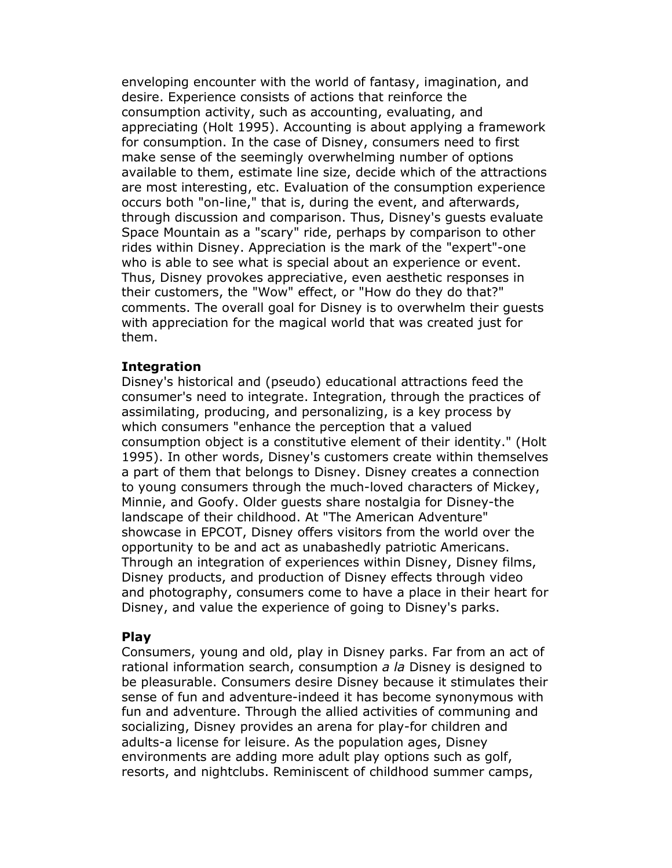enveloping encounter with the world of fantasy, imagination, and desire. Experience consists of actions that reinforce the consumption activity, such as accounting, evaluating, and appreciating (Holt 1995). Accounting is about applying a framework for consumption. In the case of Disney, consumers need to first make sense of the seemingly overwhelming number of options available to them, estimate line size, decide which of the attractions are most interesting, etc. Evaluation of the consumption experience occurs both "on-line," that is, during the event, and afterwards, through discussion and comparison. Thus, Disney's guests evaluate Space Mountain as a "scary" ride, perhaps by comparison to other rides within Disney. Appreciation is the mark of the "expert"-one who is able to see what is special about an experience or event. Thus, Disney provokes appreciative, even aesthetic responses in their customers, the "Wow" effect, or "How do they do that?" comments. The overall goal for Disney is to overwhelm their guests with appreciation for the magical world that was created just for them.

#### **Integration**

Disney's historical and (pseudo) educational attractions feed the consumer's need to integrate. Integration, through the practices of assimilating, producing, and personalizing, is a key process by which consumers "enhance the perception that a valued consumption object is a constitutive element of their identity." (Holt 1995). In other words, Disney's customers create within themselves a part of them that belongs to Disney. Disney creates a connection to young consumers through the much-loved characters of Mickey, Minnie, and Goofy. Older guests share nostalgia for Disney-the landscape of their childhood. At "The American Adventure" showcase in EPCOT, Disney offers visitors from the world over the opportunity to be and act as unabashedly patriotic Americans. Through an integration of experiences within Disney, Disney films, Disney products, and production of Disney effects through video and photography, consumers come to have a place in their heart for Disney, and value the experience of going to Disney's parks.

#### Play

Consumers, young and old, play in Disney parks. Far from an act of rational information search, consumption a la Disney is designed to be pleasurable. Consumers desire Disney because it stimulates their sense of fun and adventure-indeed it has become synonymous with fun and adventure. Through the allied activities of communing and socializing, Disney provides an arena for play-for children and adults-a license for leisure. As the population ages, Disney environments are adding more adult play options such as golf, resorts, and nightclubs. Reminiscent of childhood summer camps,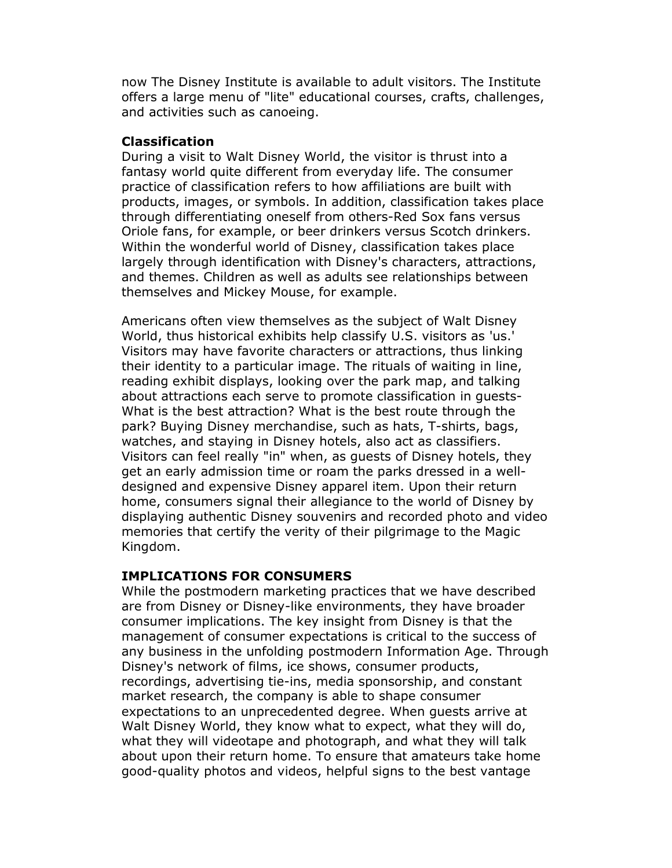now The Disney Institute is available to adult visitors. The Institute offers a large menu of "lite" educational courses, crafts, challenges, and activities such as canoeing.

### Classification

During a visit to Walt Disney World, the visitor is thrust into a fantasy world quite different from everyday life. The consumer practice of classification refers to how affiliations are built with products, images, or symbols. In addition, classification takes place through differentiating oneself from others-Red Sox fans versus Oriole fans, for example, or beer drinkers versus Scotch drinkers. Within the wonderful world of Disney, classification takes place largely through identification with Disney's characters, attractions, and themes. Children as well as adults see relationships between themselves and Mickey Mouse, for example.

Americans often view themselves as the subject of Walt Disney World, thus historical exhibits help classify U.S. visitors as 'us.' Visitors may have favorite characters or attractions, thus linking their identity to a particular image. The rituals of waiting in line, reading exhibit displays, looking over the park map, and talking about attractions each serve to promote classification in guests-What is the best attraction? What is the best route through the park? Buying Disney merchandise, such as hats, T-shirts, bags, watches, and staying in Disney hotels, also act as classifiers. Visitors can feel really "in" when, as guests of Disney hotels, they get an early admission time or roam the parks dressed in a welldesigned and expensive Disney apparel item. Upon their return home, consumers signal their allegiance to the world of Disney by displaying authentic Disney souvenirs and recorded photo and video memories that certify the verity of their pilgrimage to the Magic Kingdom.

### IMPLICATIONS FOR CONSUMERS

While the postmodern marketing practices that we have described are from Disney or Disney-like environments, they have broader consumer implications. The key insight from Disney is that the management of consumer expectations is critical to the success of any business in the unfolding postmodern Information Age. Through Disney's network of films, ice shows, consumer products, recordings, advertising tie-ins, media sponsorship, and constant market research, the company is able to shape consumer expectations to an unprecedented degree. When guests arrive at Walt Disney World, they know what to expect, what they will do, what they will videotape and photograph, and what they will talk about upon their return home. To ensure that amateurs take home good-quality photos and videos, helpful signs to the best vantage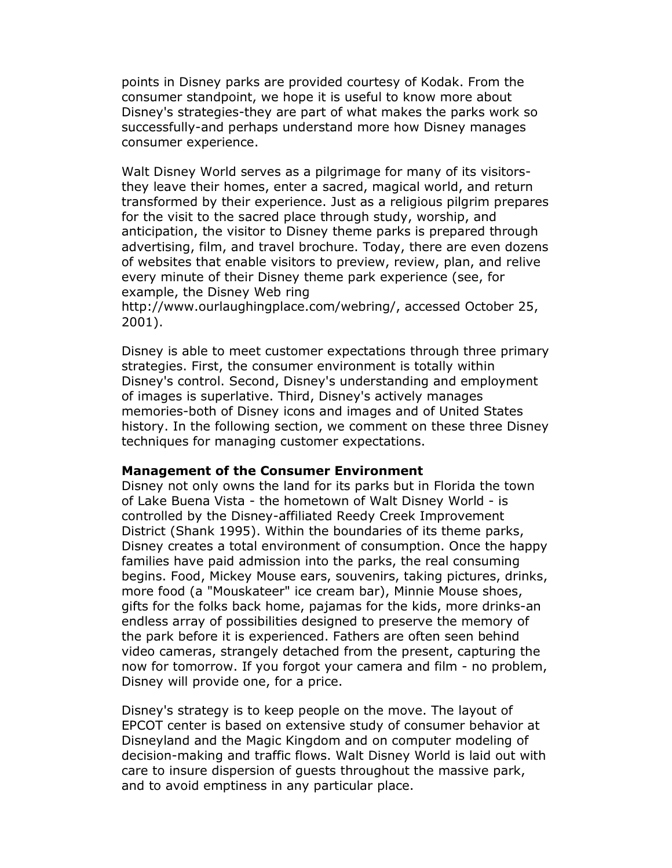points in Disney parks are provided courtesy of Kodak. From the consumer standpoint, we hope it is useful to know more about Disney's strategies-they are part of what makes the parks work so successfully-and perhaps understand more how Disney manages consumer experience.

Walt Disney World serves as a pilgrimage for many of its visitorsthey leave their homes, enter a sacred, magical world, and return transformed by their experience. Just as a religious pilgrim prepares for the visit to the sacred place through study, worship, and anticipation, the visitor to Disney theme parks is prepared through advertising, film, and travel brochure. Today, there are even dozens of websites that enable visitors to preview, review, plan, and relive every minute of their Disney theme park experience (see, for example, the Disney Web ring

http://www.ourlaughingplace.com/webring/, accessed October 25, 2001).

Disney is able to meet customer expectations through three primary strategies. First, the consumer environment is totally within Disney's control. Second, Disney's understanding and employment of images is superlative. Third, Disney's actively manages memories-both of Disney icons and images and of United States history. In the following section, we comment on these three Disney techniques for managing customer expectations.

#### Management of the Consumer Environment

Disney not only owns the land for its parks but in Florida the town of Lake Buena Vista - the hometown of Walt Disney World - is controlled by the Disney-affiliated Reedy Creek Improvement District (Shank 1995). Within the boundaries of its theme parks, Disney creates a total environment of consumption. Once the happy families have paid admission into the parks, the real consuming begins. Food, Mickey Mouse ears, souvenirs, taking pictures, drinks, more food (a "Mouskateer" ice cream bar), Minnie Mouse shoes, gifts for the folks back home, pajamas for the kids, more drinks-an endless array of possibilities designed to preserve the memory of the park before it is experienced. Fathers are often seen behind video cameras, strangely detached from the present, capturing the now for tomorrow. If you forgot your camera and film - no problem, Disney will provide one, for a price.

Disney's strategy is to keep people on the move. The layout of EPCOT center is based on extensive study of consumer behavior at Disneyland and the Magic Kingdom and on computer modeling of decision-making and traffic flows. Walt Disney World is laid out with care to insure dispersion of guests throughout the massive park, and to avoid emptiness in any particular place.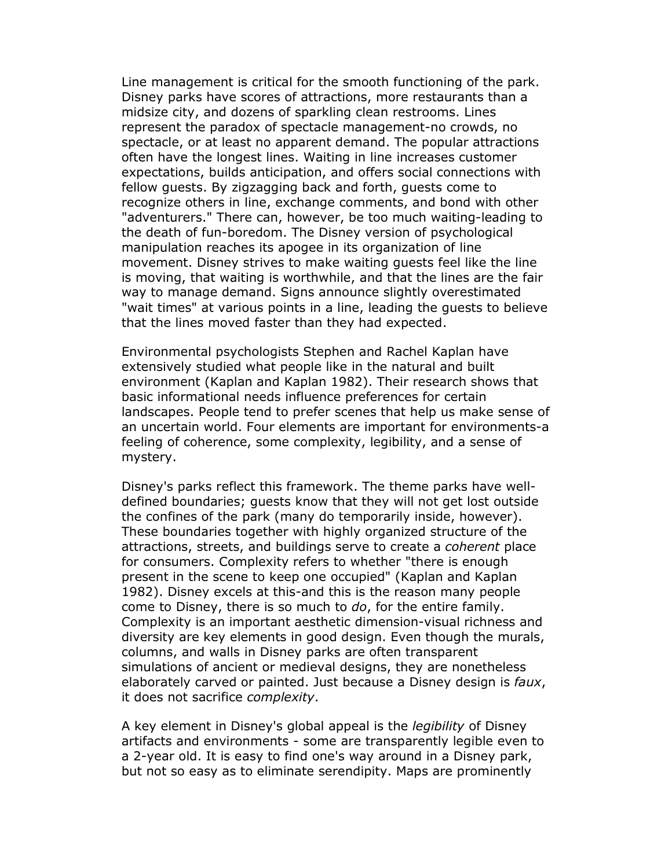Line management is critical for the smooth functioning of the park. Disney parks have scores of attractions, more restaurants than a midsize city, and dozens of sparkling clean restrooms. Lines represent the paradox of spectacle management-no crowds, no spectacle, or at least no apparent demand. The popular attractions often have the longest lines. Waiting in line increases customer expectations, builds anticipation, and offers social connections with fellow guests. By zigzagging back and forth, guests come to recognize others in line, exchange comments, and bond with other "adventurers." There can, however, be too much waiting-leading to the death of fun-boredom. The Disney version of psychological manipulation reaches its apogee in its organization of line movement. Disney strives to make waiting guests feel like the line is moving, that waiting is worthwhile, and that the lines are the fair way to manage demand. Signs announce slightly overestimated "wait times" at various points in a line, leading the guests to believe that the lines moved faster than they had expected.

Environmental psychologists Stephen and Rachel Kaplan have extensively studied what people like in the natural and built environment (Kaplan and Kaplan 1982). Their research shows that basic informational needs influence preferences for certain landscapes. People tend to prefer scenes that help us make sense of an uncertain world. Four elements are important for environments-a feeling of coherence, some complexity, legibility, and a sense of mystery.

Disney's parks reflect this framework. The theme parks have welldefined boundaries; guests know that they will not get lost outside the confines of the park (many do temporarily inside, however). These boundaries together with highly organized structure of the attractions, streets, and buildings serve to create a coherent place for consumers. Complexity refers to whether "there is enough present in the scene to keep one occupied" (Kaplan and Kaplan 1982). Disney excels at this-and this is the reason many people come to Disney, there is so much to do, for the entire family. Complexity is an important aesthetic dimension-visual richness and diversity are key elements in good design. Even though the murals, columns, and walls in Disney parks are often transparent simulations of ancient or medieval designs, they are nonetheless elaborately carved or painted. Just because a Disney design is faux, it does not sacrifice complexity.

A key element in Disney's global appeal is the *legibility* of Disney artifacts and environments - some are transparently legible even to a 2-year old. It is easy to find one's way around in a Disney park, but not so easy as to eliminate serendipity. Maps are prominently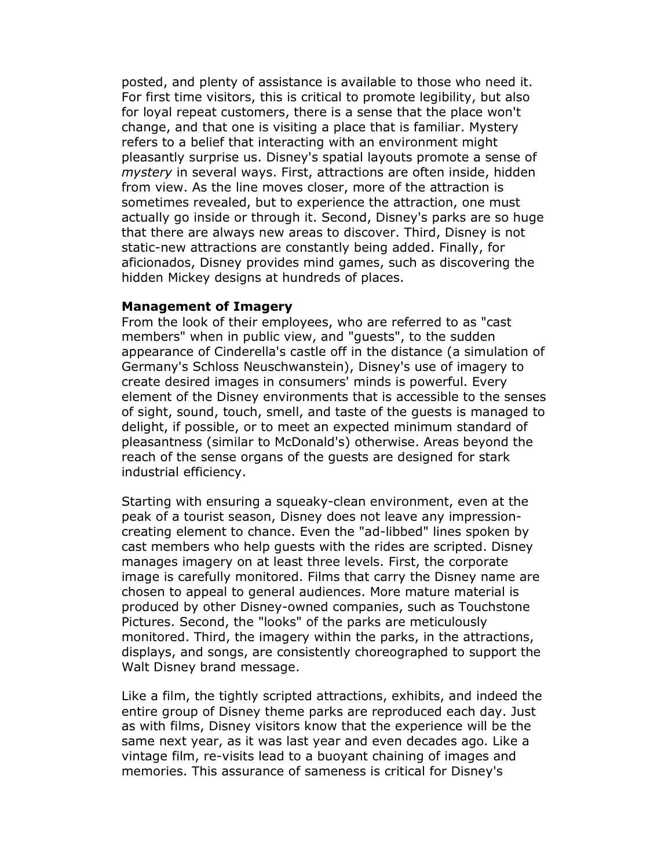posted, and plenty of assistance is available to those who need it. For first time visitors, this is critical to promote legibility, but also for loyal repeat customers, there is a sense that the place won't change, and that one is visiting a place that is familiar. Mystery refers to a belief that interacting with an environment might pleasantly surprise us. Disney's spatial layouts promote a sense of mystery in several ways. First, attractions are often inside, hidden from view. As the line moves closer, more of the attraction is sometimes revealed, but to experience the attraction, one must actually go inside or through it. Second, Disney's parks are so huge that there are always new areas to discover. Third, Disney is not static-new attractions are constantly being added. Finally, for aficionados, Disney provides mind games, such as discovering the hidden Mickey designs at hundreds of places.

#### Management of Imagery

From the look of their employees, who are referred to as "cast members" when in public view, and "guests", to the sudden appearance of Cinderella's castle off in the distance (a simulation of Germany's Schloss Neuschwanstein), Disney's use of imagery to create desired images in consumers' minds is powerful. Every element of the Disney environments that is accessible to the senses of sight, sound, touch, smell, and taste of the guests is managed to delight, if possible, or to meet an expected minimum standard of pleasantness (similar to McDonald's) otherwise. Areas beyond the reach of the sense organs of the guests are designed for stark industrial efficiency.

Starting with ensuring a squeaky-clean environment, even at the peak of a tourist season, Disney does not leave any impressioncreating element to chance. Even the "ad-libbed" lines spoken by cast members who help guests with the rides are scripted. Disney manages imagery on at least three levels. First, the corporate image is carefully monitored. Films that carry the Disney name are chosen to appeal to general audiences. More mature material is produced by other Disney-owned companies, such as Touchstone Pictures. Second, the "looks" of the parks are meticulously monitored. Third, the imagery within the parks, in the attractions, displays, and songs, are consistently choreographed to support the Walt Disney brand message.

Like a film, the tightly scripted attractions, exhibits, and indeed the entire group of Disney theme parks are reproduced each day. Just as with films, Disney visitors know that the experience will be the same next year, as it was last year and even decades ago. Like a vintage film, re-visits lead to a buoyant chaining of images and memories. This assurance of sameness is critical for Disney's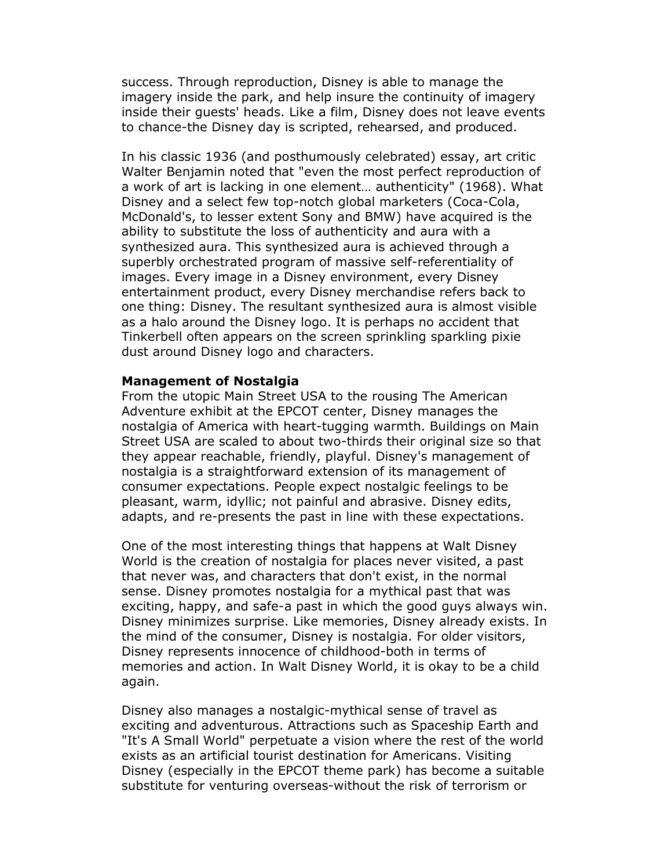success. Through reproduction, Disney is able to manage the imagery inside the park, and help insure the continuity of imagery inside their guests' heads. Like a film, Disney does not leave events to chance-the Disney day is scripted, rehearsed, and produced.

In his classic 1936 (and posthumously celebrated) essay, art critic Walter Benjamin noted that "even the most perfect reproduction of a work of art is lacking in one element… authenticity" (1968). What Disney and a select few top-notch global marketers (Coca-Cola, McDonald's, to lesser extent Sony and BMW) have acquired is the ability to substitute the loss of authenticity and aura with a synthesized aura. This synthesized aura is achieved through a superbly orchestrated program of massive self-referentiality of images. Every image in a Disney environment, every Disney entertainment product, every Disney merchandise refers back to one thing: Disney. The resultant synthesized aura is almost visible as a halo around the Disney logo. It is perhaps no accident that Tinkerbell often appears on the screen sprinkling sparkling pixie dust around Disney logo and characters.

#### Management of Nostalgia

From the utopic Main Street USA to the rousing The American Adventure exhibit at the EPCOT center, Disney manages the nostalgia of America with heart-tugging warmth. Buildings on Main Street USA are scaled to about two-thirds their original size so that they appear reachable, friendly, playful. Disney's management of nostalgia is a straightforward extension of its management of consumer expectations. People expect nostalgic feelings to be pleasant, warm, idyllic; not painful and abrasive. Disney edits, adapts, and re-presents the past in line with these expectations.

One of the most interesting things that happens at Walt Disney World is the creation of nostalgia for places never visited, a past that never was, and characters that don't exist, in the normal sense. Disney promotes nostalgia for a mythical past that was exciting, happy, and safe-a past in which the good guys always win. Disney minimizes surprise. Like memories, Disney already exists. In the mind of the consumer, Disney is nostalgia. For older visitors, Disney represents innocence of childhood-both in terms of memories and action. In Walt Disney World, it is okay to be a child again.

Disney also manages a nostalgic-mythical sense of travel as exciting and adventurous. Attractions such as Spaceship Earth and "It's A Small World" perpetuate a vision where the rest of the world exists as an artificial tourist destination for Americans. Visiting Disney (especially in the EPCOT theme park) has become a suitable substitute for venturing overseas-without the risk of terrorism or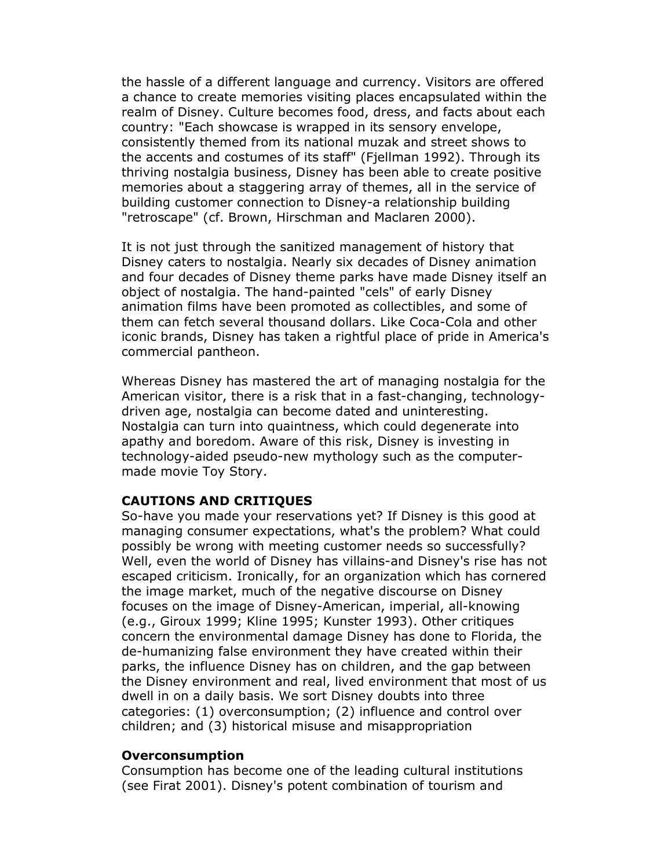the hassle of a different language and currency. Visitors are offered a chance to create memories visiting places encapsulated within the realm of Disney. Culture becomes food, dress, and facts about each country: "Each showcase is wrapped in its sensory envelope, consistently themed from its national muzak and street shows to the accents and costumes of its staff" (Fjellman 1992). Through its thriving nostalgia business, Disney has been able to create positive memories about a staggering array of themes, all in the service of building customer connection to Disney-a relationship building "retroscape" (cf. Brown, Hirschman and Maclaren 2000).

It is not just through the sanitized management of history that Disney caters to nostalgia. Nearly six decades of Disney animation and four decades of Disney theme parks have made Disney itself an object of nostalgia. The hand-painted "cels" of early Disney animation films have been promoted as collectibles, and some of them can fetch several thousand dollars. Like Coca-Cola and other iconic brands, Disney has taken a rightful place of pride in America's commercial pantheon.

Whereas Disney has mastered the art of managing nostalgia for the American visitor, there is a risk that in a fast-changing, technologydriven age, nostalgia can become dated and uninteresting. Nostalgia can turn into quaintness, which could degenerate into apathy and boredom. Aware of this risk, Disney is investing in technology-aided pseudo-new mythology such as the computermade movie Toy Story.

#### CAUTIONS AND CRITIQUES

So-have you made your reservations yet? If Disney is this good at managing consumer expectations, what's the problem? What could possibly be wrong with meeting customer needs so successfully? Well, even the world of Disney has villains-and Disney's rise has not escaped criticism. Ironically, for an organization which has cornered the image market, much of the negative discourse on Disney focuses on the image of Disney-American, imperial, all-knowing (e.g., Giroux 1999; Kline 1995; Kunster 1993). Other critiques concern the environmental damage Disney has done to Florida, the de-humanizing false environment they have created within their parks, the influence Disney has on children, and the gap between the Disney environment and real, lived environment that most of us dwell in on a daily basis. We sort Disney doubts into three categories: (1) overconsumption; (2) influence and control over children; and (3) historical misuse and misappropriation

#### Overconsumption

Consumption has become one of the leading cultural institutions (see Firat 2001). Disney's potent combination of tourism and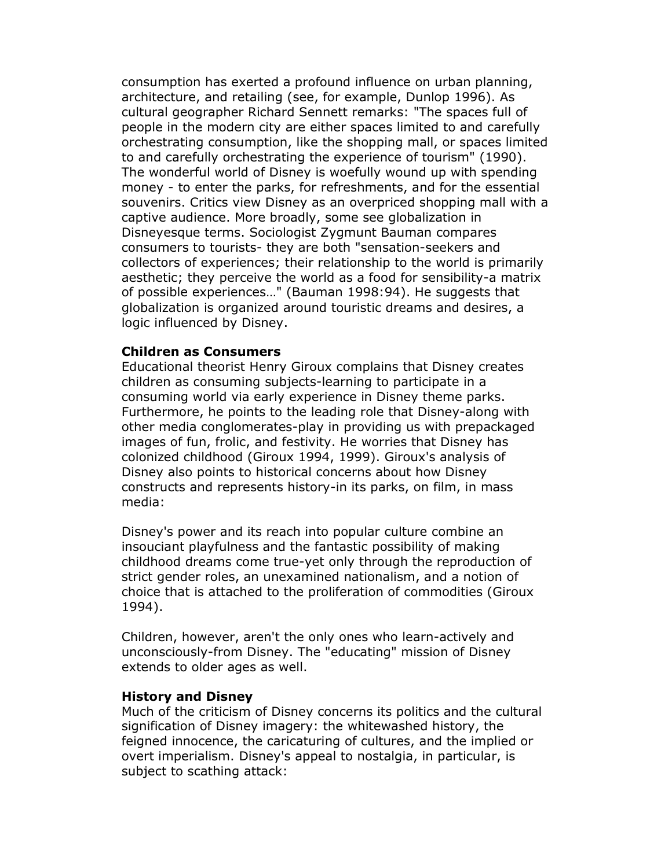consumption has exerted a profound influence on urban planning, architecture, and retailing (see, for example, Dunlop 1996). As cultural geographer Richard Sennett remarks: "The spaces full of people in the modern city are either spaces limited to and carefully orchestrating consumption, like the shopping mall, or spaces limited to and carefully orchestrating the experience of tourism" (1990). The wonderful world of Disney is woefully wound up with spending money - to enter the parks, for refreshments, and for the essential souvenirs. Critics view Disney as an overpriced shopping mall with a captive audience. More broadly, some see globalization in Disneyesque terms. Sociologist Zygmunt Bauman compares consumers to tourists- they are both "sensation-seekers and collectors of experiences; their relationship to the world is primarily aesthetic; they perceive the world as a food for sensibility-a matrix of possible experiences…" (Bauman 1998:94). He suggests that globalization is organized around touristic dreams and desires, a logic influenced by Disney.

### Children as Consumers

Educational theorist Henry Giroux complains that Disney creates children as consuming subjects-learning to participate in a consuming world via early experience in Disney theme parks. Furthermore, he points to the leading role that Disney-along with other media conglomerates-play in providing us with prepackaged images of fun, frolic, and festivity. He worries that Disney has colonized childhood (Giroux 1994, 1999). Giroux's analysis of Disney also points to historical concerns about how Disney constructs and represents history-in its parks, on film, in mass media:

Disney's power and its reach into popular culture combine an insouciant playfulness and the fantastic possibility of making childhood dreams come true-yet only through the reproduction of strict gender roles, an unexamined nationalism, and a notion of choice that is attached to the proliferation of commodities (Giroux 1994).

Children, however, aren't the only ones who learn-actively and unconsciously-from Disney. The "educating" mission of Disney extends to older ages as well.

#### History and Disney

Much of the criticism of Disney concerns its politics and the cultural signification of Disney imagery: the whitewashed history, the feigned innocence, the caricaturing of cultures, and the implied or overt imperialism. Disney's appeal to nostalgia, in particular, is subject to scathing attack: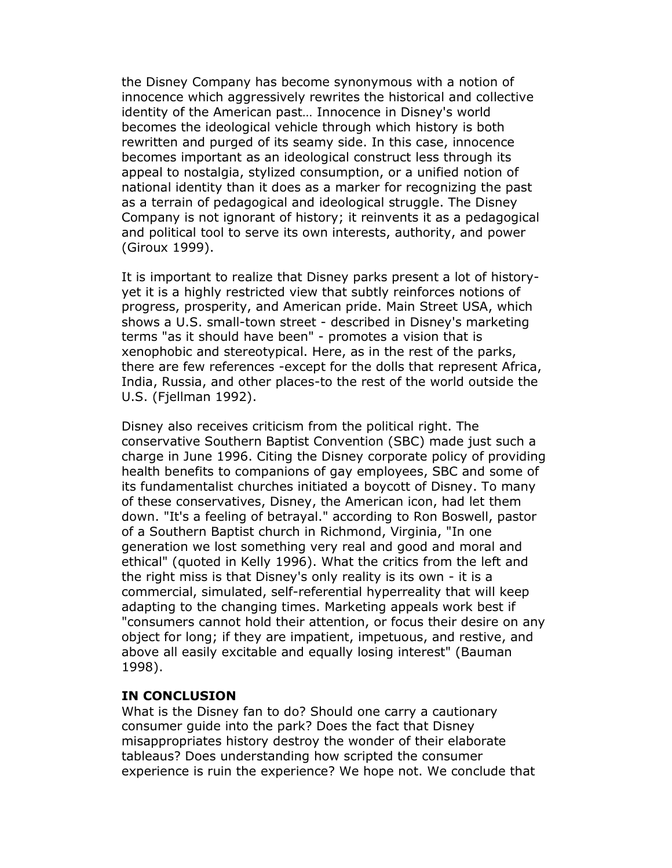the Disney Company has become synonymous with a notion of innocence which aggressively rewrites the historical and collective identity of the American past… Innocence in Disney's world becomes the ideological vehicle through which history is both rewritten and purged of its seamy side. In this case, innocence becomes important as an ideological construct less through its appeal to nostalgia, stylized consumption, or a unified notion of national identity than it does as a marker for recognizing the past as a terrain of pedagogical and ideological struggle. The Disney Company is not ignorant of history; it reinvents it as a pedagogical and political tool to serve its own interests, authority, and power (Giroux 1999).

It is important to realize that Disney parks present a lot of historyyet it is a highly restricted view that subtly reinforces notions of progress, prosperity, and American pride. Main Street USA, which shows a U.S. small-town street - described in Disney's marketing terms "as it should have been" - promotes a vision that is xenophobic and stereotypical. Here, as in the rest of the parks, there are few references -except for the dolls that represent Africa, India, Russia, and other places-to the rest of the world outside the U.S. (Fjellman 1992).

Disney also receives criticism from the political right. The conservative Southern Baptist Convention (SBC) made just such a charge in June 1996. Citing the Disney corporate policy of providing health benefits to companions of gay employees, SBC and some of its fundamentalist churches initiated a boycott of Disney. To many of these conservatives, Disney, the American icon, had let them down. "It's a feeling of betrayal." according to Ron Boswell, pastor of a Southern Baptist church in Richmond, Virginia, "In one generation we lost something very real and good and moral and ethical" (quoted in Kelly 1996). What the critics from the left and the right miss is that Disney's only reality is its own - it is a commercial, simulated, self-referential hyperreality that will keep adapting to the changing times. Marketing appeals work best if "consumers cannot hold their attention, or focus their desire on any object for long; if they are impatient, impetuous, and restive, and above all easily excitable and equally losing interest" (Bauman 1998).

# IN CONCLUSION

What is the Disney fan to do? Should one carry a cautionary consumer guide into the park? Does the fact that Disney misappropriates history destroy the wonder of their elaborate tableaus? Does understanding how scripted the consumer experience is ruin the experience? We hope not. We conclude that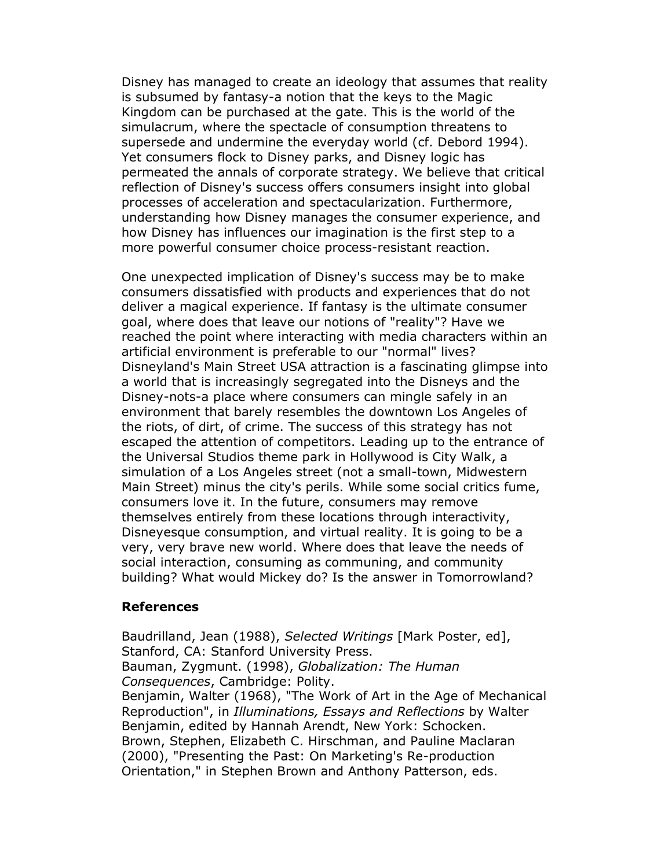Disney has managed to create an ideology that assumes that reality is subsumed by fantasy-a notion that the keys to the Magic Kingdom can be purchased at the gate. This is the world of the simulacrum, where the spectacle of consumption threatens to supersede and undermine the everyday world (cf. Debord 1994). Yet consumers flock to Disney parks, and Disney logic has permeated the annals of corporate strategy. We believe that critical reflection of Disney's success offers consumers insight into global processes of acceleration and spectacularization. Furthermore, understanding how Disney manages the consumer experience, and how Disney has influences our imagination is the first step to a more powerful consumer choice process-resistant reaction.

One unexpected implication of Disney's success may be to make consumers dissatisfied with products and experiences that do not deliver a magical experience. If fantasy is the ultimate consumer goal, where does that leave our notions of "reality"? Have we reached the point where interacting with media characters within an artificial environment is preferable to our "normal" lives? Disneyland's Main Street USA attraction is a fascinating glimpse into a world that is increasingly segregated into the Disneys and the Disney-nots-a place where consumers can mingle safely in an environment that barely resembles the downtown Los Angeles of the riots, of dirt, of crime. The success of this strategy has not escaped the attention of competitors. Leading up to the entrance of the Universal Studios theme park in Hollywood is City Walk, a simulation of a Los Angeles street (not a small-town, Midwestern Main Street) minus the city's perils. While some social critics fume, consumers love it. In the future, consumers may remove themselves entirely from these locations through interactivity, Disneyesque consumption, and virtual reality. It is going to be a very, very brave new world. Where does that leave the needs of social interaction, consuming as communing, and community building? What would Mickey do? Is the answer in Tomorrowland?

#### References

Baudrilland, Jean (1988), Selected Writings [Mark Poster, ed], Stanford, CA: Stanford University Press. Bauman, Zygmunt. (1998), Globalization: The Human Consequences, Cambridge: Polity. Benjamin, Walter (1968), "The Work of Art in the Age of Mechanical Reproduction", in Illuminations, Essays and Reflections by Walter Benjamin, edited by Hannah Arendt, New York: Schocken. Brown, Stephen, Elizabeth C. Hirschman, and Pauline Maclaran (2000), "Presenting the Past: On Marketing's Re-production Orientation," in Stephen Brown and Anthony Patterson, eds.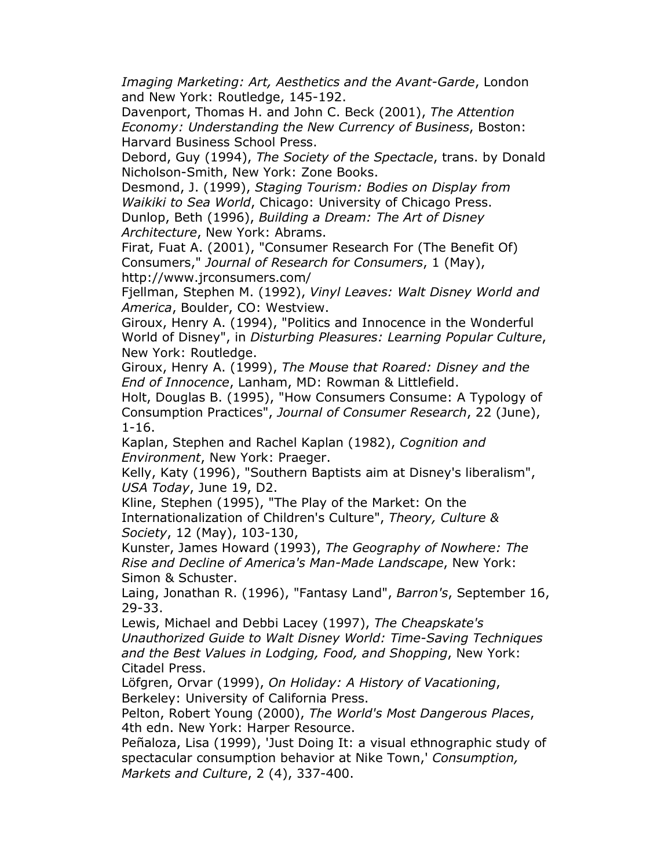Imaging Marketing: Art, Aesthetics and the Avant-Garde, London and New York: Routledge, 145-192.

Davenport, Thomas H. and John C. Beck (2001), The Attention Economy: Understanding the New Currency of Business, Boston: Harvard Business School Press.

Debord, Guy (1994), The Society of the Spectacle, trans. by Donald Nicholson-Smith, New York: Zone Books.

Desmond, J. (1999), Staging Tourism: Bodies on Display from Waikiki to Sea World, Chicago: University of Chicago Press.

Dunlop, Beth (1996), Building a Dream: The Art of Disney Architecture, New York: Abrams.

Firat, Fuat A. (2001), "Consumer Research For (The Benefit Of) Consumers," Journal of Research for Consumers, 1 (May), http://www.jrconsumers.com/

Fjellman, Stephen M. (1992), Vinyl Leaves: Walt Disney World and America, Boulder, CO: Westview.

Giroux, Henry A. (1994), "Politics and Innocence in the Wonderful World of Disney", in Disturbing Pleasures: Learning Popular Culture, New York: Routledge.

Giroux, Henry A. (1999), The Mouse that Roared: Disney and the End of Innocence, Lanham, MD: Rowman & Littlefield.

Holt, Douglas B. (1995), "How Consumers Consume: A Typology of Consumption Practices", Journal of Consumer Research, 22 (June), 1-16.

Kaplan, Stephen and Rachel Kaplan (1982), Cognition and Environment, New York: Praeger.

Kelly, Katy (1996), "Southern Baptists aim at Disney's liberalism", USA Today, June 19, D2.

Kline, Stephen (1995), "The Play of the Market: On the Internationalization of Children's Culture", Theory, Culture & Society, 12 (May), 103-130,

Kunster, James Howard (1993), The Geography of Nowhere: The Rise and Decline of America's Man-Made Landscape, New York: Simon & Schuster.

Laing, Jonathan R. (1996), "Fantasy Land", Barron's, September 16, 29-33.

Lewis, Michael and Debbi Lacey (1997), The Cheapskate's Unauthorized Guide to Walt Disney World: Time-Saving Techniques and the Best Values in Lodging, Food, and Shopping, New York: Citadel Press.

Löfgren, Orvar (1999), On Holiday: A History of Vacationing, Berkeley: University of California Press.

Pelton, Robert Young (2000), The World's Most Dangerous Places, 4th edn. New York: Harper Resource.

Peñaloza, Lisa (1999), 'Just Doing It: a visual ethnographic study of spectacular consumption behavior at Nike Town,' Consumption, Markets and Culture, 2 (4), 337-400.